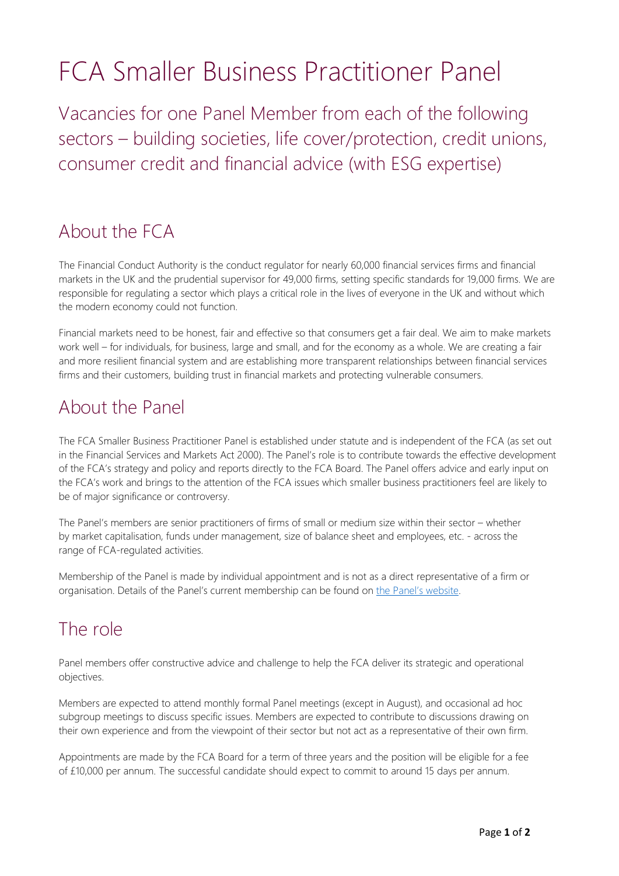# FCA Smaller Business Practitioner Panel

Vacancies for one Panel Member from each of the following sectors – building societies, life cover/protection, credit unions, consumer credit and financial advice (with ESG expertise)

### About the FCA

The Financial Conduct Authority is the conduct regulator for nearly 60,000 financial services firms and financial markets in the UK and the prudential supervisor for 49,000 firms, setting specific standards for 19,000 firms. We are responsible for regulating a sector which plays a critical role in the lives of everyone in the UK and without which the modern economy could not function.

Financial markets need to be honest, fair and effective so that consumers get a fair deal. We aim to make markets work well – for individuals, for business, large and small, and for the economy as a whole. We are creating a fair and more resilient financial system and are establishing more transparent relationships between financial services firms and their customers, building trust in financial markets and protecting vulnerable consumers.

### About the Panel

The FCA Smaller Business Practitioner Panel is established under statute and is independent of the FCA (as set out in the Financial Services and Markets Act 2000). The Panel's role is to contribute towards the effective development of the FCA's strategy and policy and reports directly to the FCA Board. The Panel offers advice and early input on the FCA's work and brings to the attention of the FCA issues which smaller business practitioners feel are likely to be of major significance or controversy.

The Panel's members are senior practitioners of firms of small or medium size within their sector – whether by market capitalisation, funds under management, size of balance sheet and employees, etc. - across the range of FCA-regulated activities.

Membership of the Panel is made by individual appointment and is not as a direct representative of a firm or organisation. Details of the Panel's current membership can be found on [the Panel's](https://www.fca-sbpp.org.uk/) website.

### The role

Panel members offer constructive advice and challenge to help the FCA deliver its strategic and operational objectives.

Members are expected to attend monthly formal Panel meetings (except in August), and occasional ad hoc subgroup meetings to discuss specific issues. Members are expected to contribute to discussions drawing on their own experience and from the viewpoint of their sector but not act as a representative of their own firm.

Appointments are made by the FCA Board for a term of three years and the position will be eligible for a fee of £10,000 per annum. The successful candidate should expect to commit to around 15 days per annum.